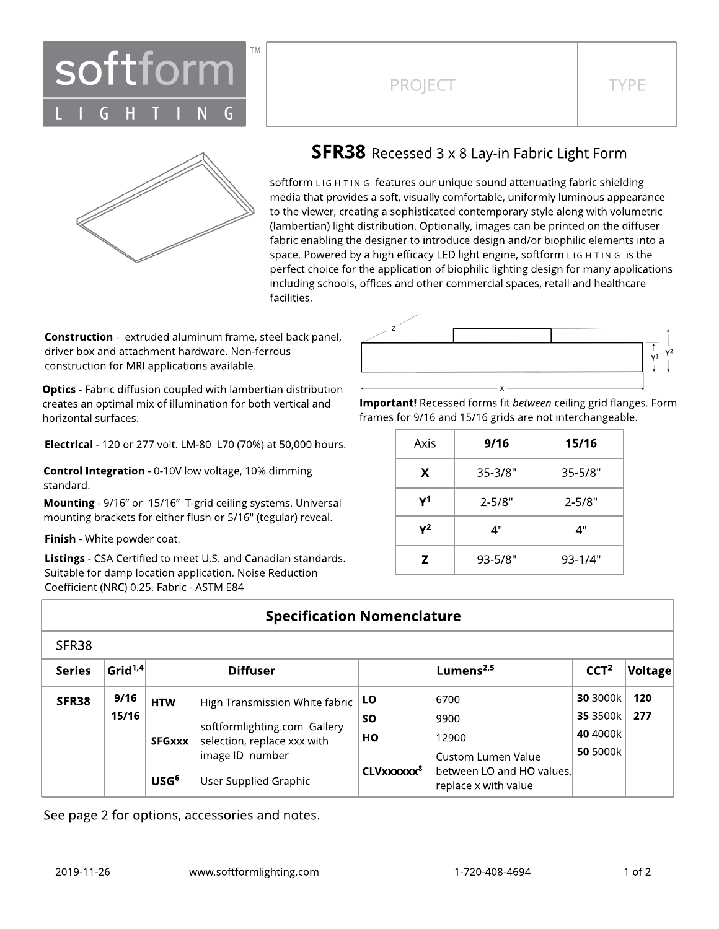

# PROJECT TYPE



### **SFR38** Recessed 3 x 8 Lay-in Fabric Light Form

softform LIG H TIN G features our unique sound attenuating fabric shielding media that provides a soft, visually comfortable, uniformly luminous appearance to the viewer, creating a sophisticated contemporary style along with volumetric (lambertian) light distribution. Optionally, images can be printed on the diffuser fabric enabling the designer to introduce design and/or biophilic elements into a space. Powered by a high efficacy LED light engine, softform L IG H T IN G is the perfect choice for the application of biophilic lighting design for many applications including schools, offices and other commercial spaces, retail and healthcare facilities.

**Construction** - extruded aluminum frame, steel back panel, driver box and attachment hardware. Non-ferrous construction for MRI applications available.

**Optics** - Fabric diffusion coupled with lambertian distribution creates an optimal mix of illumination for both vertical and horizontal surfaces.

Electrical - 120 or 277 volt. LM-80 L70 (70%) at 50,000 hours.

Control Integration - 0-10V low voltage, 10% dimming standard.

Mounting - 9/16" or 15/16" T-grid ceiling systems. Universal mounting brackets for either flush or 5/16" (tegular) reveal.

Finish - White powder coat.

Listings - CSA Certified to meet U.S. and Canadian standards. Suitable for damp location application. Noise Reduction Coefficient (NRC) 0.25. Fabric - ASTM E84



Important! Recessed forms fit between ceiling grid flanges. Form frames for 9/16 and 15/16 grids are not interchangeable.

| Axis | 9/16        | 15/16       |  |  |
|------|-------------|-------------|--|--|
| X    | $35 - 3/8"$ | $35 - 5/8"$ |  |  |
| γ1   | $2 - 5/8"$  | $2 - 5/8"$  |  |  |
| γ2   | 4"          | יי 4        |  |  |
| Z    | 93-5/8"     | 93-1/4"     |  |  |

### **Specification Nomenclature**

| <b>Series</b> | Grid <sup>1,4</sup> | <b>Diffuser</b>                                |                                | Lumens $2,5$                |                                                   | CCT <sup>2</sup>     | $ $ Voltage $ $ |
|---------------|---------------------|------------------------------------------------|--------------------------------|-----------------------------|---------------------------------------------------|----------------------|-----------------|
| SFR38         | 9/16                | <b>HTW</b>                                     | High Transmission White fabric | LO                          | 6700                                              | <b>30 3000k</b>      | 120             |
|               | 15/16               |                                                | softformlighting.com Gallery   | <b>SO</b>                   | 9900                                              | 35 3500k<br>40 4000k | 277             |
|               | <b>SFGxxx</b>       | selection, replace xxx with<br>image ID number | HО                             | 12900<br>Custom Lumen Value | <b>50 5000k</b>                                   |                      |                 |
|               |                     | USG <sup>6</sup>                               | User Supplied Graphic          | CLVxxxxxx <sup>8</sup>      | between LO and HO values.<br>replace x with value |                      |                 |

See page 2 for options, accessories and notes.